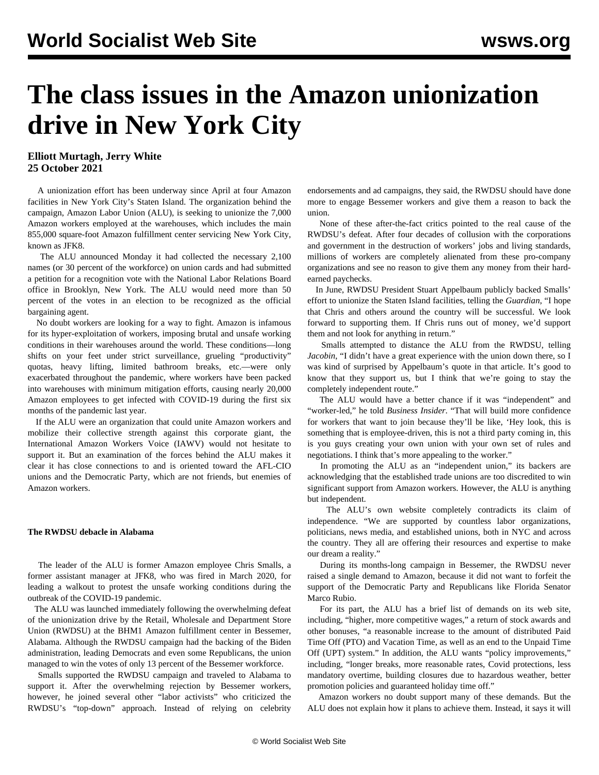# **The class issues in the Amazon unionization drive in New York City**

### **Elliott Murtagh, Jerry White 25 October 2021**

 A unionization effort has been underway since April at four Amazon facilities in New York City's Staten Island. The organization behind the campaign, Amazon Labor Union (ALU), is seeking to unionize the 7,000 Amazon workers employed at the warehouses, which includes the main 855,000 square-foot Amazon fulfillment center servicing New York City, known as JFK8.

 The ALU announced Monday it had collected the necessary 2,100 names (or 30 percent of the workforce) on union cards and had submitted a petition for a recognition vote with the National Labor Relations Board office in Brooklyn, New York. The ALU would need more than 50 percent of the votes in an election to be recognized as the official bargaining agent.

 No doubt workers are looking for a way to fight. Amazon is infamous for its hyper-exploitation of workers, imposing brutal and unsafe working conditions in their warehouses [around the world.](/en/articles/2017/11/30/amaz-n30.html) These conditions—long shifts on your feet under strict surveillance, grueling "productivity" quotas, heavy lifting, limited bathroom breaks, etc.—were only [exacerbated throughout the pandemic](/en/articles/2021/06/28/amaz-j28.html), where workers have been packed into warehouses with minimum mitigation efforts, causing [nearly 20,000](/en/articles/2020/10/03/amaz-o03.html) [Amazon employees to get infected with COVID-19](/en/articles/2020/10/03/amaz-o03.html) during the first six months of the pandemic last year.

 If the ALU were an organization that could unite Amazon workers and mobilize their collective strength against this corporate giant, the International Amazon Workers Voice (IAWV) would not hesitate to support it. But an examination of the forces behind the ALU makes it clear it has close connections to and is oriented toward the AFL-CIO unions and the Democratic Party, which are not friends, but enemies of Amazon workers.

#### **The RWDSU debacle in Alabama**

 The leader of the ALU is former Amazon employee Chris Smalls, a former assistant manager at JFK8, who was fired in March 2020, for leading a walkout to protest the unsafe working conditions during the outbreak of the COVID-19 pandemic.

 The ALU was launched immediately following the [overwhelming defeat](/en/articles/2021/04/10/pers-a10.html) of the unionization drive by the Retail, Wholesale and Department Store Union (RWDSU) at the BHM1 Amazon fulfillment center in Bessemer, Alabama. Although the RWDSU campaign had the backing of the Biden administration, leading Democrats and even some Republicans, the union managed to win the votes of only 13 percent of the Bessemer workforce.

 Smalls supported the RWDSU campaign and traveled to Alabama to support it. After the overwhelming rejection by Bessemer workers, however, he joined several other "labor activists" who criticized the RWDSU's "top-down" approach. Instead of relying on celebrity endorsements and ad campaigns, they said, the RWDSU should have done more to engage Bessemer workers and give them a reason to back the union.

 None of these after-the-fact critics pointed to the real cause of the RWDSU's defeat. After four decades of collusion with the corporations and government in the destruction of workers' jobs and living standards, millions of workers are completely alienated from these pro-company organizations and see no reason to give them any money from their hardearned paychecks.

 In June, RWDSU President Stuart Appelbaum publicly backed Smalls' effort to unionize the Staten Island facilities, telling the *Guardian*, "I hope that Chris and others around the country will be successful. We look forward to supporting them. If Chris runs out of money, we'd support them and not look for anything in return."

 Smalls attempted to distance the ALU from the RWDSU, telling *Jacobin*, "I didn't have a great experience with the union down there, so I was kind of surprised by Appelbaum's quote in that article. It's good to know that they support us, but I think that we're going to stay the completely independent route."

 The ALU would have a better chance if it was "independent" and "worker-led," he told *Business Insider*. "That will build more confidence for workers that want to join because they'll be like, 'Hey look, this is something that is employee-driven, this is not a third party coming in, this is you guys creating your own union with your own set of rules and negotiations. I think that's more appealing to the worker."

 In promoting the ALU as an "independent union," its backers are acknowledging that the established trade unions are too discredited to win significant support from Amazon workers. However, the ALU is anything but independent.

 The ALU's own website completely contradicts its claim of independence. "We are supported by countless labor organizations, politicians, news media, and established unions, both in NYC and across the country. They all are offering their resources and expertise to make our dream a reality."

 During its months-long campaign in Bessemer, the RWDSU never raised a single demand to Amazon, because it did not want to forfeit the support of the Democratic Party and Republicans like Florida Senator Marco Rubio.

 For its part, the ALU has a brief list of demands on its web site, including, "higher, more competitive wages," a return of stock awards and other bonuses, "a reasonable increase to the amount of distributed Paid Time Off (PTO) and Vacation Time, as well as an end to the Unpaid Time Off (UPT) system." In addition, the ALU wants "policy improvements," including, "longer breaks, more reasonable rates, Covid protections, less mandatory overtime, building closures due to hazardous weather, better promotion policies and guaranteed holiday time off."

 Amazon workers no doubt support many of these demands. But the ALU does not explain how it plans to achieve them. Instead, it says it will